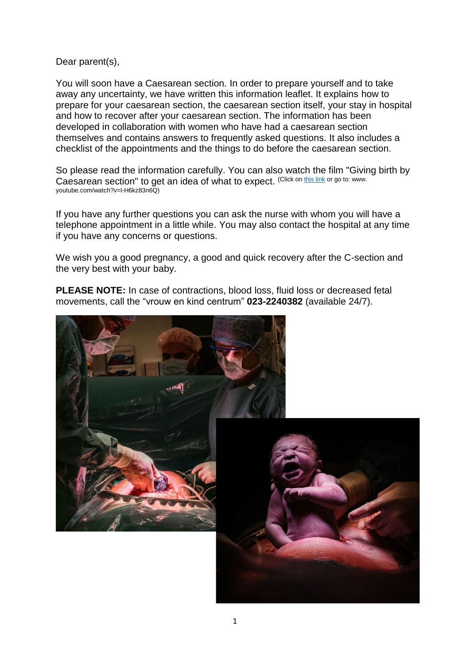Dear parent(s),

You will soon have a Caesarean section. In order to prepare yourself and to take away any uncertainty, we have written this information leaflet. It explains how to prepare for your caesarean section, the caesarean section itself, your stay in hospital and how to recover after your caesarean section. The information has been developed in collaboration with women who have had a caesarean section themselves and contains answers to frequently asked questions. It also includes a checklist of the appointments and the things to do before the caesarean section.

So please read the information carefully. You can also watch the film ["Giving birth by](https://youtu.be/l-H6kz83n6Q)  [Caesarean section" t](https://youtu.be/l-H6kz83n6Q)o get an idea of what to expect. (Click o[n this](https://youtu.be/l-H6kz83n6Q) link or go to: www. youtube.com/watch?v=l-H6kz83n6Q)

If you have any further questions you can ask the nurse with whom you will have a telephone appointment in a little while. You may also contact the hospital at any time if you have any concerns or questions.

We wish you a good pregnancy, a good and quick recovery after the C-section and the very best with your baby.

**PLEASE NOTE:** In case of contractions, blood loss, fluid loss or decreased fetal movements, call the "vrouw en kind centrum" **023-2240382** (available 24/7).

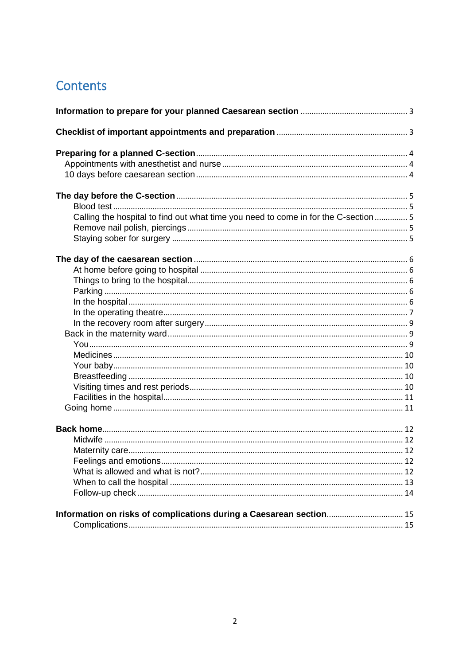# Contents

| Calling the hospital to find out what time you need to come in for the C-section  5 |  |
|-------------------------------------------------------------------------------------|--|
|                                                                                     |  |
|                                                                                     |  |
|                                                                                     |  |
|                                                                                     |  |
|                                                                                     |  |
|                                                                                     |  |
|                                                                                     |  |
|                                                                                     |  |
|                                                                                     |  |
|                                                                                     |  |
|                                                                                     |  |
|                                                                                     |  |
|                                                                                     |  |
|                                                                                     |  |
|                                                                                     |  |
|                                                                                     |  |
|                                                                                     |  |
|                                                                                     |  |
|                                                                                     |  |
|                                                                                     |  |
|                                                                                     |  |
|                                                                                     |  |
|                                                                                     |  |
|                                                                                     |  |
| Information on risks of complications during a Caesarean section 15                 |  |
|                                                                                     |  |
|                                                                                     |  |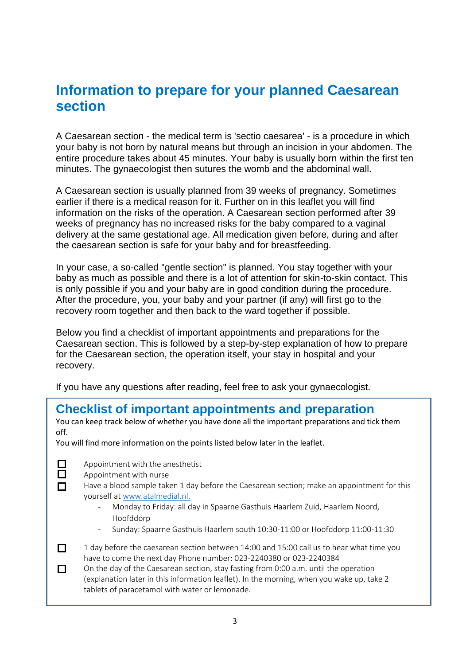# <span id="page-2-1"></span><span id="page-2-0"></span>**Information to prepare for your planned Caesarean section**

A Caesarean section - the medical term is 'sectio caesarea' - is a procedure in which your baby is not born by natural means but through an incision in your abdomen. The entire procedure takes about 45 minutes. Your baby is usually born within the first ten minutes. The gynaecologist then sutures the womb and the abdominal wall.

A Caesarean section is usually planned from 39 weeks of pregnancy. Sometimes earlier if there is a medical reason for it. Further on in this leaflet you will find information on the risks of the operation. A Caesarean section performed after 39 weeks of pregnancy has no increased risks for the baby compared to a vaginal delivery at the same gestational age. All medication given before, during and after the caesarean section is safe for your baby and for breastfeeding.

In your case, a so-called "gentle section" is planned. You stay together with your baby as much as possible and there is a lot of attention for skin-to-skin contact. This is only possible if you and your baby are in good condition during the procedure. After the procedure, you, your baby and your partner (if any) will first go to the recovery room together and then back to the ward together if possible.

Below you find a checklist of important appointments and preparations for the Caesarean section. This is followed by a step-by-step explanation of how to prepare for the Caesarean section, the operation itself, your stay in hospital and your recovery.

If you have any questions after reading, feel free to ask your gynaecologist.

## **Checklist of important appointments and preparation**

You can keep track below of whether you have done all the important preparations and tick them off.

You will find more information on the points listed below later in the leaflet.

 $\Box$ ñ

П

- Appointment with the anesthetist
- Appointment with nurse
- Have a blood sample taken 1 day before the Caesarean section; make an appointment for this yourself a[t www.atalmedial.nl.](file:///C:/Users/vollebre/AppData/Local/Microsoft/Windows/INetCache/Content.Outlook/1EER8269/www.atalmedial.nl)
	- Monday to Friday: all day in Spaarne Gasthuis Haarlem Zuid, Haarlem Noord, Hoofddorp
	- Sunday: Spaarne Gasthuis Haarlem south 10:30-11:00 or Hoofddorp 11:00-11:30
- $\Box$ 1 day before the caesarean section between 14:00 and 15:00 call us to hear what time you have to come the next day Phone number: 023-2240380 or 023-2240384

 $\Box$ On the day of the Caesarean section, stay fasting from 0:00 a.m. until the operation (explanation later in this information leaflet). In the morning, when you wake up, take 2 tablets of paracetamol with water or lemonade.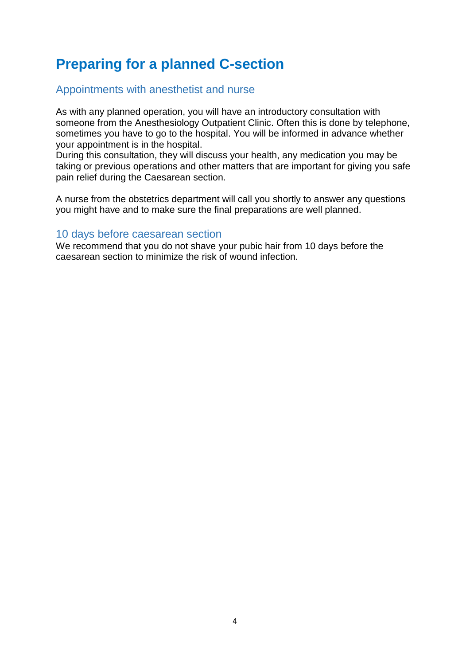# <span id="page-3-0"></span>**Preparing for a planned C-section**

## <span id="page-3-1"></span>Appointments with anesthetist and nurse

As with any planned operation, you will have an introductory consultation with someone from the Anesthesiology Outpatient Clinic. Often this is done by telephone, sometimes you have to go to the hospital. You will be informed in advance whether your appointment is in the hospital.

During this consultation, they will discuss your health, any medication you may be taking or previous operations and other matters that are important for giving you safe pain relief during the Caesarean section.

A nurse from the obstetrics department will call you shortly to answer any questions you might have and to make sure the final preparations are well planned.

## <span id="page-3-2"></span>10 days before caesarean section

We recommend that you do not shave your pubic hair from 10 days before the caesarean section to minimize the risk of wound infection.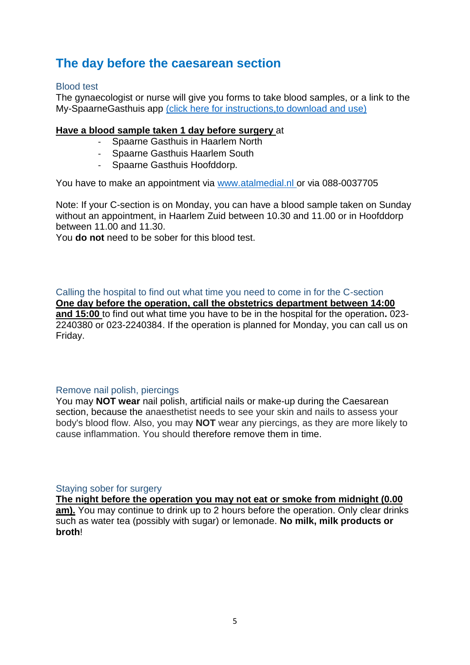## <span id="page-4-0"></span>**The day before the caesarean section**

## <span id="page-4-1"></span>Blood test

The gynaecologist or nurse will give you forms to take blood samples, or a link to the My-SpaarneGasthuis app [\(click here for instructions,to download and use\)](https://spaarnegasthuis.nl/mijnspaarnegasthuis/mijnspaarnegasthuis-app-mychart)

## **Have a blood sample taken 1 day before surgery** at

- Spaarne Gasthuis in Haarlem North
- Spaarne Gasthuis Haarlem South
- Spaarne Gasthuis Hoofddorp.

You have to make an appointment via [www.atalmedial.nl o](http://www.atalmedial.nl/)r via 088-0037705

Note: If your C-section is on Monday, you can have a blood sample taken on Sunday without an appointment, in Haarlem Zuid between 10.30 and 11.00 or in Hoofddorp between 11.00 and 11.30.

You **do not** need to be sober for this blood test.

<span id="page-4-2"></span>Calling the hospital to find out what time you need to come in for the C-section **One day before the operation, call the obstetrics department between 14:00 and 15:00** to find out what time you have to be in the hospital for the operation**.** 023- 2240380 or 023-2240384. If the operation is planned for Monday, you can call us on Friday.

## <span id="page-4-3"></span>Remove nail polish, piercings

You may **NOT wear** nail polish, artificial nails or make-up during the Caesarean section, because the anaesthetist needs to see your skin and nails to assess your body's blood flow. Also, you may **NOT** wear any piercings, as they are more likely to cause inflammation. You should therefore remove them in time.

<span id="page-4-4"></span>Staving sober for surgery

**The night before the operation you may not eat or smoke from midnight (0.00 am).** You may continue to drink up to 2 hours before the operation. Only clear drinks such as water tea (possibly with sugar) or lemonade. **No milk, milk products or broth**!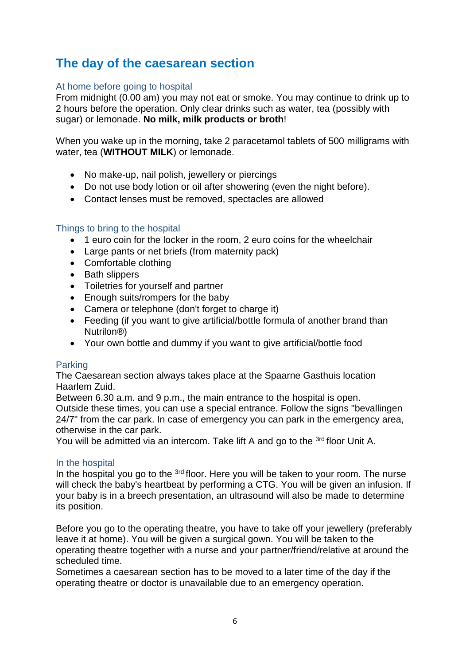## <span id="page-5-0"></span>**The day of the caesarean section**

## <span id="page-5-1"></span>At home before going to hospital

From midnight (0.00 am) you may not eat or smoke. You may continue to drink up to 2 hours before the operation. Only clear drinks such as water, tea (possibly with sugar) or lemonade. **No milk, milk products or broth**!

When you wake up in the morning, take 2 paracetamol tablets of 500 milligrams with water, tea (**WITHOUT MILK**) or lemonade.

- No make-up, nail polish, jewellery or piercings
- Do not use body lotion or oil after showering (even the night before).
- Contact lenses must be removed, spectacles are allowed

## <span id="page-5-2"></span>Things to bring to the hospital

- 1 euro coin for the locker in the room, 2 euro coins for the wheelchair
- Large pants or net briefs (from maternity pack)
- Comfortable clothing
- Bath slippers
- Toiletries for yourself and partner
- Enough suits/rompers for the baby
- Camera or telephone (don't forget to charge it)
- Feeding (if you want to give artificial/bottle formula of another brand than Nutrilon®)
- Your own bottle and dummy if you want to give artificial/bottle food

## <span id="page-5-3"></span>Parking

The Caesarean section always takes place at the Spaarne Gasthuis location Haarlem Zuid.

Between 6.30 a.m. and 9 p.m., the main entrance to the hospital is open. Outside these times, you can use a special entrance. Follow the signs "bevallingen 24/7" from the car park. In case of emergency you can park in the emergency area, otherwise in the car park.

You will be admitted via an intercom. Take lift A and go to the <sup>3rd</sup> floor Unit A.

## <span id="page-5-4"></span>In the hospital

In the hospital you go to the <sup>3rd</sup> floor. Here you will be taken to your room. The nurse will check the baby's heartbeat by performing a CTG. You will be given an infusion. If your baby is in a breech presentation, an ultrasound will also be made to determine its position.

Before you go to the operating theatre, you have to take off your jewellery (preferably leave it at home). You will be given a surgical gown. You will be taken to the operating theatre together with a nurse and your partner/friend/relative at around the scheduled time.

Sometimes a caesarean section has to be moved to a later time of the day if the operating theatre or doctor is unavailable due to an emergency operation.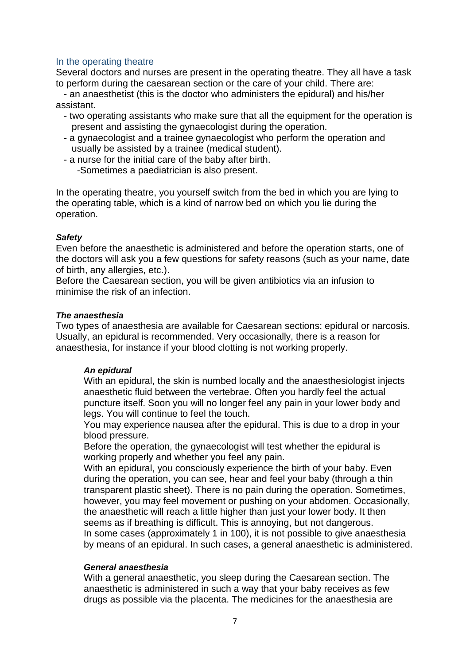## <span id="page-6-0"></span>In the operating theatre

Several doctors and nurses are present in the operating theatre. They all have a task to perform during the caesarean section or the care of your child. There are:

 - an anaesthetist (this is the doctor who administers the epidural) and his/her assistant.

- two operating assistants who make sure that all the equipment for the operation is present and assisting the gynaecologist during the operation.
- a gynaecologist and a trainee gynaecologist who perform the operation and usually be assisted by a trainee (medical student).
- a nurse for the initial care of the baby after birth.

-Sometimes a paediatrician is also present.

In the operating theatre, you yourself switch from the bed in which you are lying to the operating table, which is a kind of narrow bed on which you lie during the operation.

## *Safety*

Even before the anaesthetic is administered and before the operation starts, one of the doctors will ask you a few questions for safety reasons (such as your name, date of birth, any allergies, etc.).

Before the Caesarean section, you will be given antibiotics via an infusion to minimise the risk of an infection.

## *The anaesthesia*

Two types of anaesthesia are available for Caesarean sections: epidural or narcosis. Usually, an epidural is recommended. Very occasionally, there is a reason for anaesthesia, for instance if your blood clotting is not working properly.

## *An epidural*

With an epidural, the skin is numbed locally and the anaesthesiologist injects anaesthetic fluid between the vertebrae. Often you hardly feel the actual puncture itself. Soon you will no longer feel any pain in your lower body and legs. You will continue to feel the touch.

You may experience nausea after the epidural. This is due to a drop in your blood pressure.

Before the operation, the gynaecologist will test whether the epidural is working properly and whether you feel any pain.

With an epidural, you consciously experience the birth of your baby. Even during the operation, you can see, hear and feel your baby (through a thin transparent plastic sheet). There is no pain during the operation. Sometimes, however, you may feel movement or pushing on your abdomen. Occasionally, the anaesthetic will reach a little higher than just your lower body. It then seems as if breathing is difficult. This is annoying, but not dangerous. In some cases (approximately 1 in 100), it is not possible to give anaesthesia by means of an epidural. In such cases, a general anaesthetic is administered.

## *General anaesthesia*

With a general anaesthetic, you sleep during the Caesarean section. The anaesthetic is administered in such a way that your baby receives as few drugs as possible via the placenta. The medicines for the anaesthesia are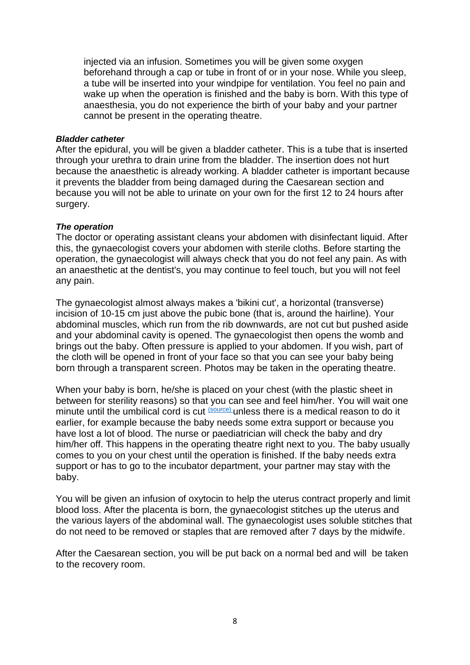injected via an infusion. Sometimes you will be given some oxygen beforehand through a cap or tube in front of or in your nose. While you sleep, a tube will be inserted into your windpipe for ventilation. You feel no pain and wake up when the operation is finished and the baby is born. With this type of anaesthesia, you do not experience the birth of your baby and your partner cannot be present in the operating theatre.

## *Bladder catheter*

After the epidural, you will be given a bladder catheter. This is a tube that is inserted through your urethra to drain urine from the bladder. The insertion does not hurt because the anaesthetic is already working. A bladder catheter is important because it prevents the bladder from being damaged during the Caesarean section and because you will not be able to urinate on your own for the first 12 to 24 hours after surgery.

## *The operation*

The doctor or operating assistant cleans your abdomen with disinfectant liquid. After this, the gynaecologist covers your abdomen with sterile cloths. Before starting the operation, the gynaecologist will always check that you do not feel any pain. As with an anaesthetic at the dentist's, you may continue to feel touch, but you will not feel any pain.

The gynaecologist almost always makes a 'bikini cut', a horizontal (transverse) incision of 10-15 cm just above the pubic bone (that is, around the hairline). Your abdominal muscles, which run from the rib downwards, are not cut but pushed aside and your abdominal cavity is opened. The gynaecologist then opens the womb and brings out the baby. Often pressure is applied to your abdomen. If you wish, part of the cloth will be opened in front of your face so that you can see your baby being born through a transparent screen. Photos may be taken in the operating theatre.

When your baby is born, he/she is placed on your chest (with the plastic sheet in between for sterility reasons) so that you can see and feel him/her. You will wait one minute until the umbilical cord is cut (Source) unless there is a medical reason to do it earlier, for example because the baby needs some extra support or because you have lost a lot of blood. The nurse or paediatrician will check the baby and dry him/her off. This happens in the operating theatre right next to you. The baby usually comes to you on your chest until the operation is finished. If the baby needs extra support or has to go to the incubator department, your partner may stay with the baby.

You will be given an infusion of oxytocin to help the uterus contract properly and limit blood loss. After the placenta is born, the gynaecologist stitches up the uterus and the various layers of the abdominal wall. The gynaecologist uses soluble stitches that do not need to be removed or staples that are removed after 7 days by the midwife.

After the Caesarean section, you will be put back on a normal bed and will be taken to the recovery room.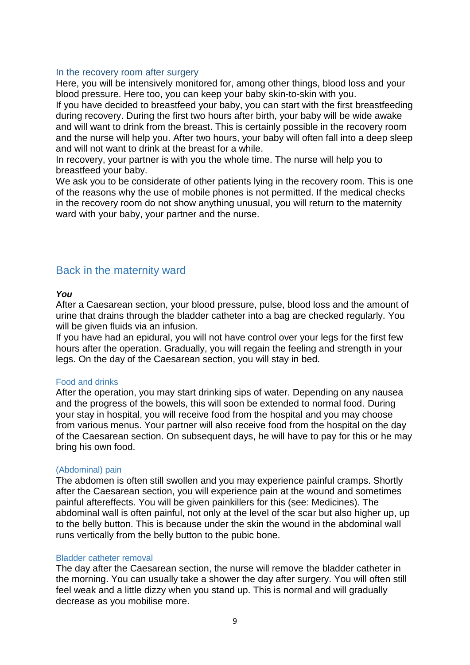#### <span id="page-8-0"></span>In the recovery room after surgery

Here, you will be intensively monitored for, among other things, blood loss and your blood pressure. Here too, you can keep your baby skin-to-skin with you.

If you have decided to breastfeed your baby, you can start with the first breastfeeding during recovery. During the first two hours after birth, your baby will be wide awake and will want to drink from the breast. This is certainly possible in the recovery room and the nurse will help you. After two hours, your baby will often fall into a deep sleep and will not want to drink at the breast for a while.

In recovery, your partner is with you the whole time. The nurse will help you to breastfeed your baby.

We ask you to be considerate of other patients lying in the recovery room. This is one of the reasons why the use of mobile phones is not permitted. If the medical checks in the recovery room do not show anything unusual, you will return to the maternity ward with your baby, your partner and the nurse.

## <span id="page-8-1"></span>Back in the maternity ward

#### <span id="page-8-2"></span>*You*

After a Caesarean section, your blood pressure, pulse, blood loss and the amount of urine that drains through the bladder catheter into a bag are checked regularly. You will be given fluids via an infusion.

If you have had an epidural, you will not have control over your legs for the first few hours after the operation. Gradually, you will regain the feeling and strength in your legs. On the day of the Caesarean section, you will stay in bed.

#### Food and drinks

After the operation, you may start drinking sips of water. Depending on any nausea and the progress of the bowels, this will soon be extended to normal food. During your stay in hospital, you will receive food from the hospital and you may choose from various menus. Your partner will also receive food from the hospital on the day of the Caesarean section. On subsequent days, he will have to pay for this or he may bring his own food.

#### (Abdominal) pain

The abdomen is often still swollen and you may experience painful cramps. Shortly after the Caesarean section, you will experience pain at the wound and sometimes painful aftereffects. You will be given painkillers for this (see: Medicines). The abdominal wall is often painful, not only at the level of the scar but also higher up, up to the belly button. This is because under the skin the wound in the abdominal wall runs vertically from the belly button to the pubic bone.

#### Bladder catheter removal

The day after the Caesarean section, the nurse will remove the bladder catheter in the morning. You can usually take a shower the day after surgery. You will often still feel weak and a little dizzy when you stand up. This is normal and will gradually decrease as you mobilise more.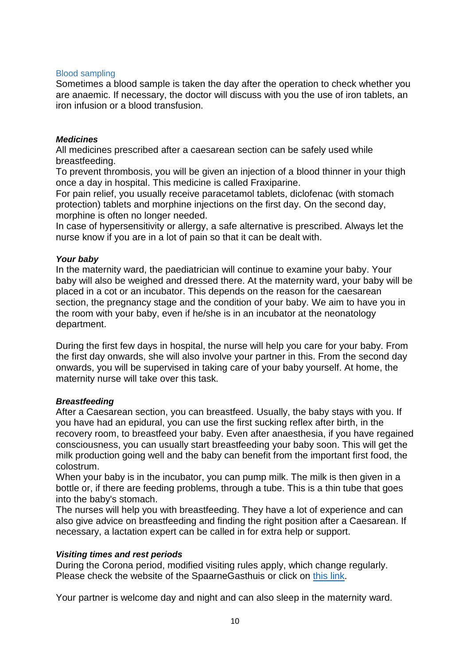## Blood sampling

Sometimes a blood sample is taken the day after the operation to check whether you are anaemic. If necessary, the doctor will discuss with you the use of iron tablets, an iron infusion or a blood transfusion.

## <span id="page-9-0"></span>*Medicines*

All medicines prescribed after a caesarean section can be safely used while breastfeeding.

To prevent thrombosis, you will be given an injection of a blood thinner in your thigh once a day in hospital. This medicine is called Fraxiparine.

For pain relief, you usually receive paracetamol tablets, diclofenac (with stomach protection) tablets and morphine injections on the first day. On the second day, morphine is often no longer needed.

In case of hypersensitivity or allergy, a safe alternative is prescribed. Always let the nurse know if you are in a lot of pain so that it can be dealt with.

## <span id="page-9-1"></span>*Your baby*

In the maternity ward, the paediatrician will continue to examine your baby. Your baby will also be weighed and dressed there. At the maternity ward, your baby will be placed in a cot or an incubator. This depends on the reason for the caesarean section, the pregnancy stage and the condition of your baby. We aim to have you in the room with your baby, even if he/she is in an incubator at the neonatology department.

During the first few days in hospital, the nurse will help you care for your baby. From the first day onwards, she will also involve your partner in this. From the second day onwards, you will be supervised in taking care of your baby yourself. At home, the maternity nurse will take over this task.

## <span id="page-9-2"></span>*Breastfeeding*

After a Caesarean section, you can breastfeed. Usually, the baby stays with you. If you have had an epidural, you can use the first sucking reflex after birth, in the recovery room, to breastfeed your baby. Even after anaesthesia, if you have regained consciousness, you can usually start breastfeeding your baby soon. This will get the milk production going well and the baby can benefit from the important first food, the colostrum.

When your baby is in the incubator, you can pump milk. The milk is then given in a bottle or, if there are feeding problems, through a tube. This is a thin tube that goes into the baby's stomach.

The nurses will help you with breastfeeding. They have a lot of experience and can also give advice on breastfeeding and finding the right position after a Caesarean. If necessary, a lactation expert can be called in for extra help or support.

## <span id="page-9-3"></span>*Visiting times and rest periods*

During the Corona period, modified visiting rules apply, which change regularly. Please check the website of the SpaarneGasthuis or click on [this link.](https://spaarnegasthuis.nl/ik-wil-op-bezoek-komen/bezoektijden)

Your partner is welcome day and night and can also sleep in the maternity ward.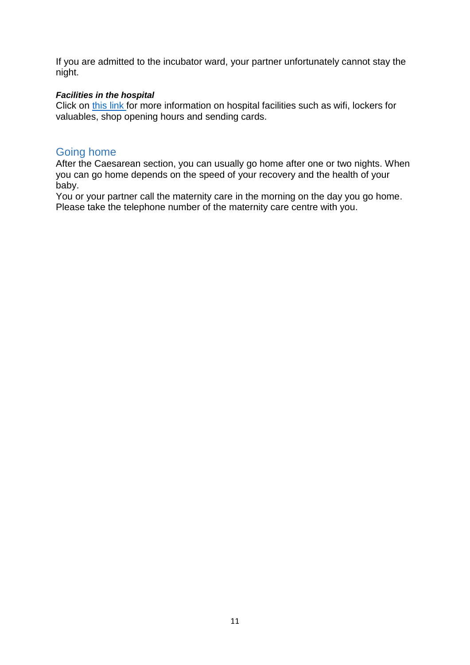If you are admitted to the incubator ward, your partner unfortunately cannot stay the night.

## <span id="page-10-0"></span>*Facilities in the hospital*

Click on [this link f](https://spaarnegasthuis.nl/voorzieningen-en-service)or more information on hospital facilities such as wifi, lockers for valuables, shop opening hours and sending cards.

## <span id="page-10-1"></span>Going home

After the Caesarean section, you can usually go home after one or two nights. When you can go home depends on the speed of your recovery and the health of your baby.

You or your partner call the maternity care in the morning on the day you go home. Please take the telephone number of the maternity care centre with you.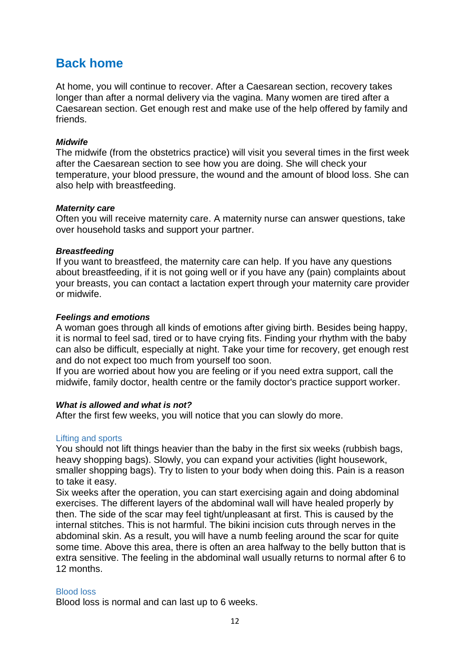## <span id="page-11-0"></span>**Back home**

At home, you will continue to recover. After a Caesarean section, recovery takes longer than after a normal delivery via the vagina. Many women are tired after a Caesarean section. Get enough rest and make use of the help offered by family and friends.

## <span id="page-11-1"></span>*Midwife*

The midwife (from the obstetrics practice) will visit you several times in the first week after the Caesarean section to see how you are doing. She will check your temperature, your blood pressure, the wound and the amount of blood loss. She can also help with breastfeeding.

## <span id="page-11-2"></span>*Maternity care*

Often you will receive maternity care. A maternity nurse can answer questions, take over household tasks and support your partner.

## *Breastfeeding*

If you want to breastfeed, the maternity care can help. If you have any questions about breastfeeding, if it is not going well or if you have any (pain) complaints about your breasts, you can contact a lactation expert through your maternity care provider or midwife.

## <span id="page-11-3"></span>*Feelings and emotions*

A woman goes through all kinds of emotions after giving birth. Besides being happy, it is normal to feel sad, tired or to have crying fits. Finding your rhythm with the baby can also be difficult, especially at night. Take your time for recovery, get enough rest and do not expect too much from yourself too soon.

If you are worried about how you are feeling or if you need extra support, call the midwife, family doctor, health centre or the family doctor's practice support worker.

## <span id="page-11-4"></span>*What is allowed and what is not?*

After the first few weeks, you will notice that you can slowly do more.

## Lifting and sports

You should not lift things heavier than the baby in the first six weeks (rubbish bags, heavy shopping bags). Slowly, you can expand your activities (light housework, smaller shopping bags). Try to listen to your body when doing this. Pain is a reason to take it easy.

Six weeks after the operation, you can start exercising again and doing abdominal exercises. The different layers of the abdominal wall will have healed properly by then. The side of the scar may feel tight/unpleasant at first. This is caused by the internal stitches. This is not harmful. The bikini incision cuts through nerves in the abdominal skin. As a result, you will have a numb feeling around the scar for quite some time. Above this area, there is often an area halfway to the belly button that is extra sensitive. The feeling in the abdominal wall usually returns to normal after 6 to 12 months.

## Blood loss

Blood loss is normal and can last up to 6 weeks.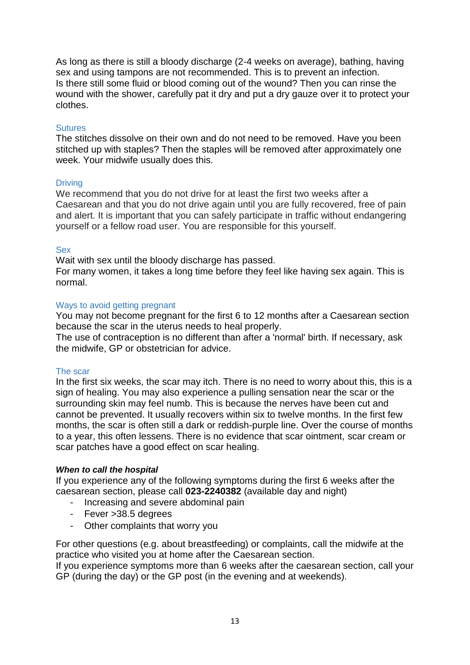As long as there is still a bloody discharge (2-4 weeks on average), bathing, having sex and using tampons are not recommended. This is to prevent an infection. Is there still some fluid or blood coming out of the wound? Then you can rinse the wound with the shower, carefully pat it dry and put a dry gauze over it to protect your clothes.

## Sutures

The stitches dissolve on their own and do not need to be removed. Have you been stitched up with staples? Then the staples will be removed after approximately one week. Your midwife usually does this.

## **Driving**

We recommend that you do not drive for at least the first two weeks after a Caesarean and that you do not drive again until you are fully recovered, free of pain and alert. It is important that you can safely participate in traffic without endangering yourself or a fellow road user. You are responsible for this yourself.

## Sex

Wait with sex until the bloody discharge has passed.

For many women, it takes a long time before they feel like having sex again. This is normal.

## Ways to avoid getting pregnant

You may not become pregnant for the first 6 to 12 months after a Caesarean section because the scar in the uterus needs to heal properly.

The use of contraception is no different than after a 'normal' birth. If necessary, ask the midwife, GP or obstetrician for advice.

## The scar

In the first six weeks, the scar may itch. There is no need to worry about this, this is a sign of healing. You may also experience a pulling sensation near the scar or the surrounding skin may feel numb. This is because the nerves have been cut and cannot be prevented. It usually recovers within six to twelve months. In the first few months, the scar is often still a dark or reddish-purple line. Over the course of months to a year, this often lessens. There is no evidence that scar ointment, scar cream or scar patches have a good effect on scar healing.

## <span id="page-12-0"></span>*When to call the hospital*

If you experience any of the following symptoms during the first 6 weeks after the caesarean section, please call **023-2240382** (available day and night)

- Increasing and severe abdominal pain
- Fever >38.5 degrees
- Other complaints that worry you

For other questions (e.g. about breastfeeding) or complaints, call the midwife at the practice who visited you at home after the Caesarean section.

If you experience symptoms more than 6 weeks after the caesarean section, call your GP (during the day) or the GP post (in the evening and at weekends).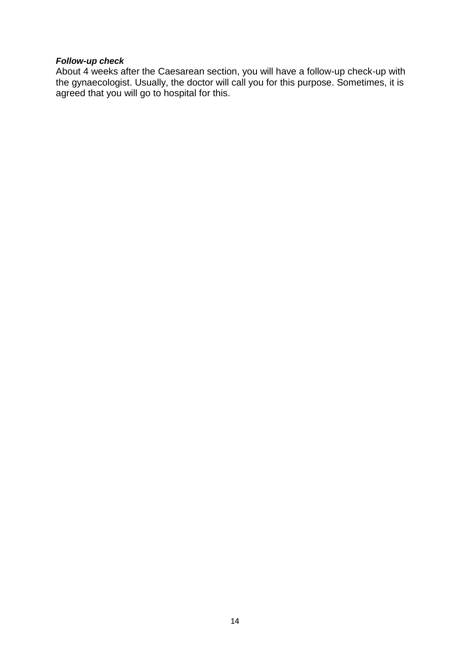## <span id="page-13-0"></span>*Follow-up check*

About 4 weeks after the Caesarean section, you will have a follow-up check-up with the gynaecologist. Usually, the doctor will call you for this purpose. Sometimes, it is agreed that you will go to hospital for this.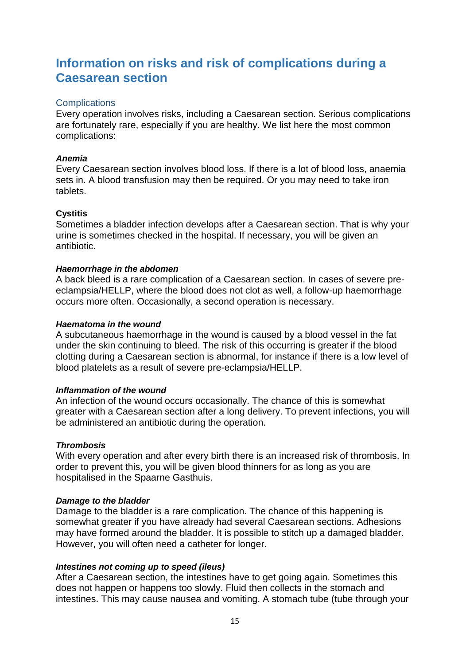## <span id="page-14-0"></span>**Information on risks and risk of complications during a Caesarean section**

## <span id="page-14-1"></span>**Complications**

Every operation involves risks, including a Caesarean section. Serious complications are fortunately rare, especially if you are healthy. We list here the most common complications:

## *Anemia*

Every Caesarean section involves blood loss. If there is a lot of blood loss, anaemia sets in. A blood transfusion may then be required. Or you may need to take iron tablets.

## **Cystitis**

Sometimes a bladder infection develops after a Caesarean section. That is why your urine is sometimes checked in the hospital. If necessary, you will be given an antibiotic.

## *Haemorrhage in the abdomen*

A back bleed is a rare complication of a Caesarean section. In cases of severe preeclampsia/HELLP, where the blood does not clot as well, a follow-up haemorrhage occurs more often. Occasionally, a second operation is necessary.

## *Haematoma in the wound*

A subcutaneous haemorrhage in the wound is caused by a blood vessel in the fat under the skin continuing to bleed. The risk of this occurring is greater if the blood clotting during a Caesarean section is abnormal, for instance if there is a low level of blood platelets as a result of severe pre-eclampsia/HELLP.

## *Inflammation of the wound*

An infection of the wound occurs occasionally. The chance of this is somewhat greater with a Caesarean section after a long delivery. To prevent infections, you will be administered an antibiotic during the operation.

## *Thrombosis*

With every operation and after every birth there is an increased risk of thrombosis. In order to prevent this, you will be given blood thinners for as long as you are hospitalised in the Spaarne Gasthuis.

## *Damage to the bladder*

Damage to the bladder is a rare complication. The chance of this happening is somewhat greater if you have already had several Caesarean sections. Adhesions may have formed around the bladder. It is possible to stitch up a damaged bladder. However, you will often need a catheter for longer.

## *Intestines not coming up to speed (ileus)*

After a Caesarean section, the intestines have to get going again. Sometimes this does not happen or happens too slowly. Fluid then collects in the stomach and intestines. This may cause nausea and vomiting. A stomach tube (tube through your